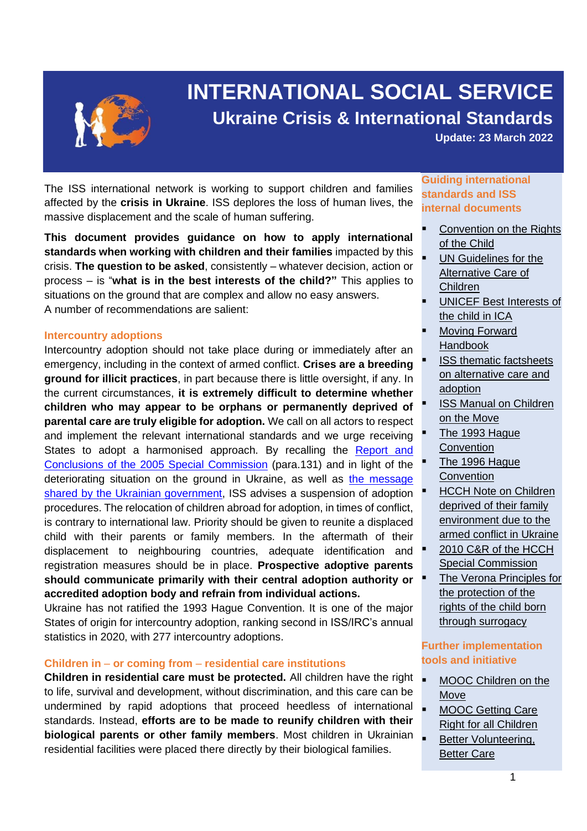

# **INTERNATIONAL SOCIAL SERVICE Ukraine Crisis & International Standards**

**Update: 23 March 2022**

The ISS international network is working to support children and families affected by the **crisis in Ukraine**. ISS deplores the loss of human lives, the massive displacement and the scale of human suffering.

**This document provides guidance on how to apply international standards when working with children and their families** impacted by this crisis. **The question to be asked**, consistently – whatever decision, action or process – is "**what is in the best interests of the child?"** This applies to situations on the ground that are complex and allow no easy answers. A number of recommendations are salient:

#### **Intercountry adoptions**

Intercountry adoption should not take place during or immediately after an emergency, including in the context of armed conflict. **Crises are a breeding ground for illicit practices**, in part because there is little oversight, if any. In the current circumstances, **it is extremely difficult to determine whether children who may appear to be orphans or permanently deprived of parental care are truly eligible for adoption.** We call on all actors to respect and implement the relevant international standards and we urge receiving States to adopt a harmonised approach. By recalling the [Report and](https://assets.hcch.net/upload/wop/adop2005_rpt-e.pdf)  [Conclusions of the 2005 Special Commission](https://assets.hcch.net/upload/wop/adop2005_rpt-e.pdf) (para.131) and in light of the deteriorating situation on the ground in Ukraine, as well as the message [shared by the Ukrainian government,](https://www.hcch.net/en/instruments/conventions/status-table/notifications/?csid=996&disp=resdn) ISS advises a suspension of adoption procedures. The relocation of children abroad for adoption, in times of conflict, is contrary to international law. Priority should be given to reunite a displaced child with their parents or family members. In the aftermath of their displacement to neighbouring countries, adequate identification and registration measures should be in place. **Prospective adoptive parents should communicate primarily with their central adoption authority or accredited adoption body and refrain from individual actions.**

Ukraine has not ratified the 1993 Hague Convention. It is one of the major States of origin for intercountry adoption, ranking second in ISS/IRC's annual statistics in 2020, with 277 intercountry adoptions.

#### **Children in** – **or coming from** – **residential care institutions**

**Children in residential care must be protected.** All children have the right to life, survival and development, without discrimination, and this care can be undermined by rapid adoptions that proceed heedless of international standards. Instead, **efforts are to be made to reunify children with their biological parents or other family members**. Most children in Ukrainian residential facilities were placed there directly by their biological families.

## **Guiding international standards and ISS internal documents**

- Convention on the Rights [of the Child](http://www.ohchr.org/EN/ProfessionalInterest/Pages/CRC.aspx)
- **UN Guidelines for the** [Alternative Care of](https://bettercarenetwork.org/sites/default/files/2021-03/GuidelinesAlternativeCareofChildrenEnglish.pdf)  [Children](https://bettercarenetwork.org/sites/default/files/2021-03/GuidelinesAlternativeCareofChildrenEnglish.pdf)
- **UNICEF Best Interests of** [the child in ICA](https://www.unicef-irc.org/publications/pdf/unicef%20best%20interest%20document_web_re-supply.pdf)
- Moving Forward [Handbook](https://www.alternativecareguidelines.org/Home/tabid/2372/language/en-GB/Default.aspx)
- **ISS thematic factsheets** [on alternative care and](http://www.iss-ssi.org/index.php/en/resources/training#thematic-fact-sheets)  [adoption](http://www.iss-ssi.org/index.php/en/resources/training#thematic-fact-sheets)
- **ISS Manual on Children** [on the Move](https://www.iss-ssi.org/images/Childrenonthemove_Guide.pdf)
- The 1993 Hague **[Convention](https://www.hcch.net/en/instruments/conventions/full-text/?cid=69)**
- The 1996 Hague **[Convention](https://www.hcch.net/en/instruments/conventions/full-text/?cid=70)**
- **HCCH Note on Children** [deprived of their family](https://assets.hcch.net/docs/0f9c08e9-75d0-4497-8ca0-12c595aa6845.pdf)  [environment due to the](https://assets.hcch.net/docs/0f9c08e9-75d0-4497-8ca0-12c595aa6845.pdf)  [armed conflict in Ukraine](https://assets.hcch.net/docs/0f9c08e9-75d0-4497-8ca0-12c595aa6845.pdf)
- 2010 C&R of the HCCH [Special Commission](https://assets.hcch.net/upload/wop/adop2010concl_e.pdf)
- The Verona Principles for [the protection of the](https://www.iss-ssi.org/images/Surrogacy/VeronaPrinciples_25February2021.pdf)  [rights of the child born](https://www.iss-ssi.org/images/Surrogacy/VeronaPrinciples_25February2021.pdf)  [through surrogacy](https://www.iss-ssi.org/images/Surrogacy/VeronaPrinciples_25February2021.pdf)

## **Further implementation tools and initiative**

- MOOC Children on the [Move](http://www.childrenonthemovemooc.com/index.php/en/)
- MOOC Getting Care [Right for all Children](http://www.alternativecaremooc.com/index.php/en/)
- **Better Volunteering,** [Better Care](https://bettercarenetwork.org/bcn-in-action/better-volunteering-better-care)